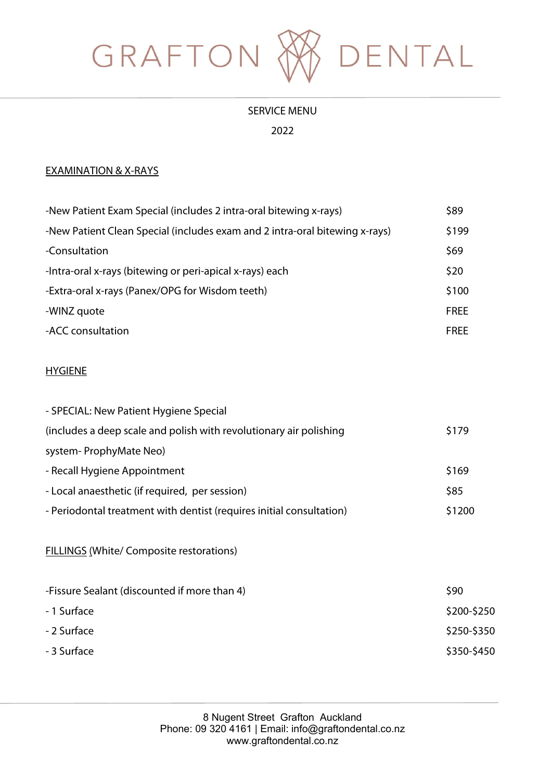

## SERVICE MENU

2022

#### EXAMINATION & X-RAYS

| -New Patient Exam Special (includes 2 intra-oral bitewing x-rays)           | \$89        |
|-----------------------------------------------------------------------------|-------------|
| -New Patient Clean Special (includes exam and 2 intra-oral bitewing x-rays) | \$199       |
| -Consultation                                                               | \$69        |
| -Intra-oral x-rays (bitewing or peri-apical x-rays) each                    | \$20        |
| -Extra-oral x-rays (Panex/OPG for Wisdom teeth)                             | \$100       |
| -WINZ quote                                                                 | <b>FREE</b> |
| -ACC consultation                                                           | <b>FREE</b> |
|                                                                             |             |

### HYGIENE

| - SPECIAL: New Patient Hygiene Special                               |             |
|----------------------------------------------------------------------|-------------|
| (includes a deep scale and polish with revolutionary air polishing   | \$179       |
| system-ProphyMate Neo)                                               |             |
| - Recall Hygiene Appointment                                         | \$169       |
| - Local anaesthetic (if required, per session)                       | \$85        |
| - Periodontal treatment with dentist (requires initial consultation) | \$1200      |
| <b>FILLINGS (White/ Composite restorations)</b>                      |             |
| -Fissure Sealant (discounted if more than 4)                         | \$90        |
| -1 Surface                                                           | \$200-\$250 |
| - 2 Surface                                                          | \$250-\$350 |
| - 3 Surface                                                          | \$350-\$450 |
|                                                                      |             |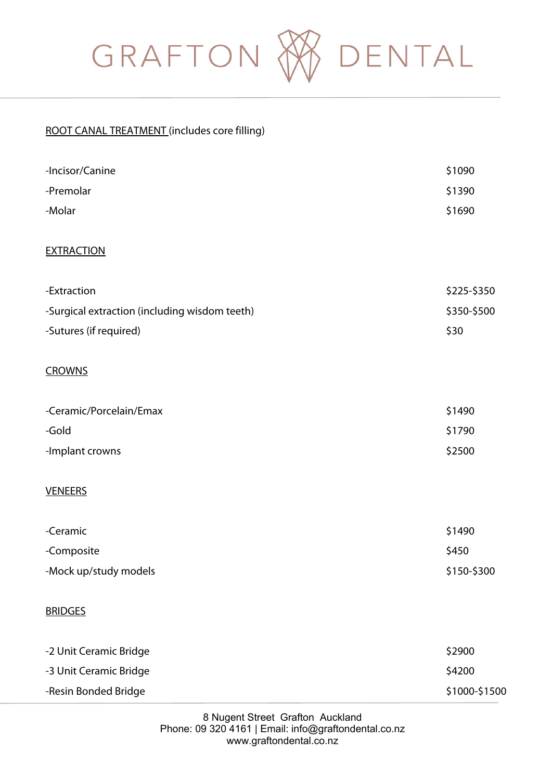

## ROOT CANAL TREATMENT (includes core filling)

| -Incisor/Canine                               | \$1090        |
|-----------------------------------------------|---------------|
| -Premolar                                     | \$1390        |
| -Molar                                        | \$1690        |
| <b>EXTRACTION</b>                             |               |
|                                               |               |
| -Extraction                                   | \$225-\$350   |
| -Surgical extraction (including wisdom teeth) | \$350-\$500   |
| -Sutures (if required)                        | \$30          |
| <b>CROWNS</b>                                 |               |
| -Ceramic/Porcelain/Emax                       | \$1490        |
| -Gold                                         | \$1790        |
| -Implant crowns                               | \$2500        |
| <b>VENEERS</b>                                |               |
| -Ceramic                                      | \$1490        |
| -Composite                                    | \$450         |
| -Mock up/study models                         | \$150-\$300   |
| <b>BRIDGES</b>                                |               |
| -2 Unit Ceramic Bridge                        | \$2900        |
| -3 Unit Ceramic Bridge                        | \$4200        |
| -Resin Bonded Bridge                          | \$1000-\$1500 |